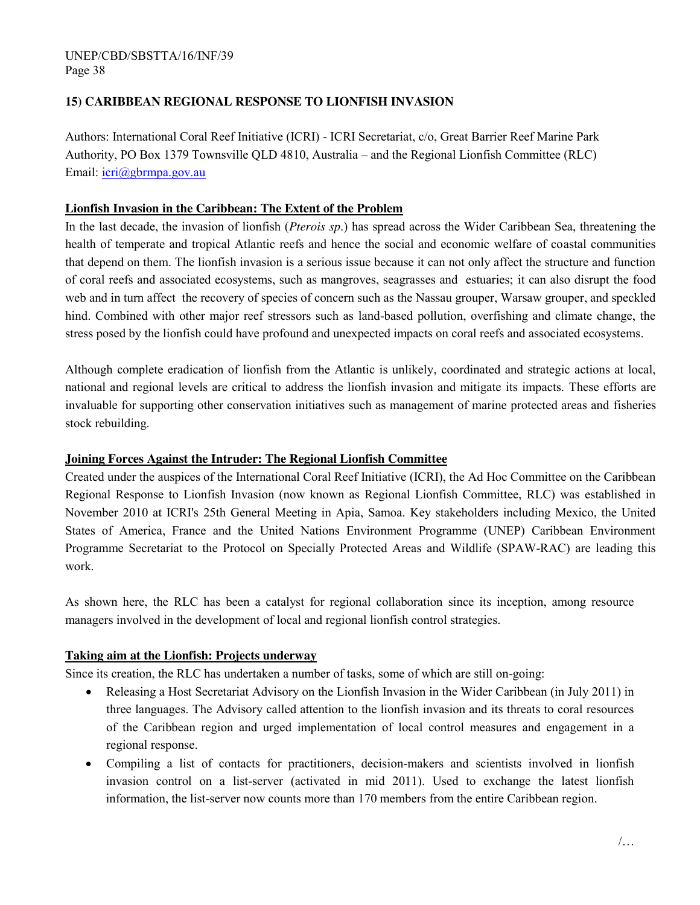#### UNEP/CBD/SBSTTA/16/INF/39 Page 38

# **15) CARIBBEAN REGIONAL RESPONSE TO LIONFISH INVASION**

Authors: International Coral Reef Initiative (ICRI) - ICRI Secretariat, c/o, Great Barrier Reef Marine Park Authority, PO Box 1379 Townsville QLD 4810, Australia – and the Regional Lionfish Committee (RLC) Email: [icri@gbrmpa.gov.au](mailto:icri@gbrmpa.gov.au)

### **Lionfish Invasion in the Caribbean: The Extent of the Problem**

In the last decade, the invasion of lionfish (*Pterois sp*.) has spread across the Wider Caribbean Sea, threatening the health of temperate and tropical Atlantic reefs and hence the social and economic welfare of coastal communities that depend on them. The lionfish invasion is a serious issue because it can not only affect the structure and function of coral reefs and associated ecosystems, such as mangroves, seagrasses and estuaries; it can also disrupt the food web and in turn affect the recovery of species of concern such as the Nassau grouper, Warsaw grouper, and speckled hind. Combined with other major reef stressors such as land-based pollution, overfishing and climate change, the stress posed by the lionfish could have profound and unexpected impacts on coral reefs and associated ecosystems.

Although complete eradication of lionfish from the Atlantic is unlikely, coordinated and strategic actions at local, national and regional levels are critical to address the lionfish invasion and mitigate its impacts. These efforts are invaluable for supporting other conservation initiatives such as management of marine protected areas and fisheries stock rebuilding.

#### **Joining Forces Against the Intruder: The Regional Lionfish Committee**

Created under the auspices of the International Coral Reef Initiative (ICRI), the Ad Hoc Committee on the Caribbean Regional Response to Lionfish Invasion (now known as Regional Lionfish Committee, RLC) was established in November 2010 at ICRI's 25th General Meeting in Apia, Samoa. Key stakeholders including Mexico, the United States of America, France and the United Nations Environment Programme (UNEP) Caribbean Environment Programme Secretariat to the Protocol on Specially Protected Areas and Wildlife (SPAW-RAC) are leading this work.

As shown here, the RLC has been a catalyst for regional collaboration since its inception, among resource managers involved in the development of local and regional lionfish control strategies.

# **Taking aim at the Lionfish: Projects underway**

Since its creation, the RLC has undertaken a number of tasks, some of which are still on-going:

- Releasing a Host Secretariat Advisory on the Lionfish Invasion in the Wider Caribbean (in July 2011) in three languages. The Advisory called attention to the lionfish invasion and its threats to coral resources of the Caribbean region and urged implementation of local control measures and engagement in a regional response.
- Compiling a list of contacts for practitioners, decision-makers and scientists involved in lionfish invasion control on a list-server (activated in mid 2011). Used to exchange the latest lionfish information, the list-server now counts more than 170 members from the entire Caribbean region.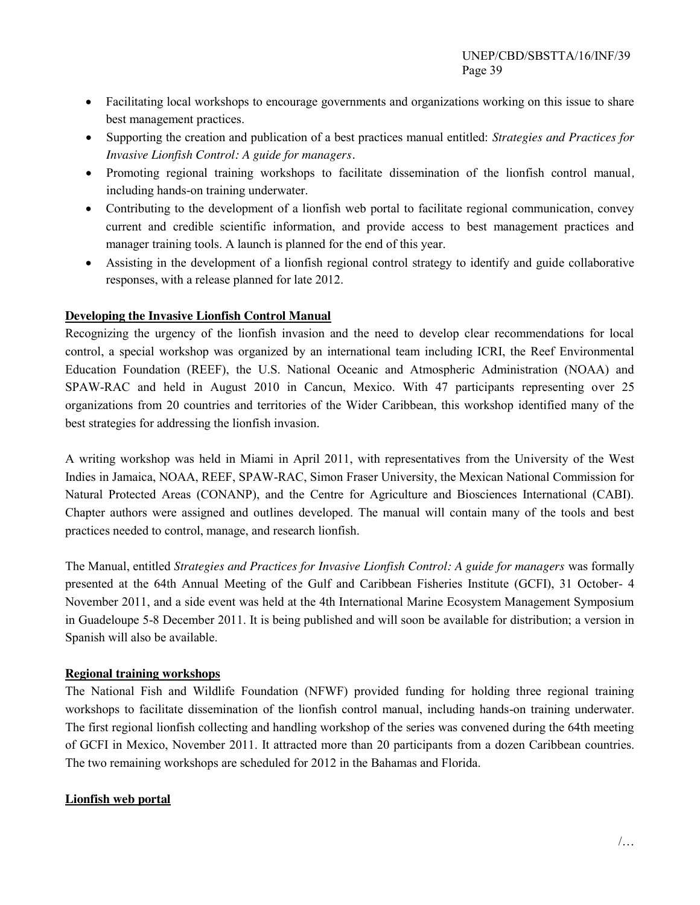- Facilitating local workshops to encourage governments and organizations working on this issue to share best management practices.
- Supporting the creation and publication of a best practices manual entitled: *Strategies and Practices for Invasive Lionfish Control: A guide for managers.*
- Promoting regional training workshops to facilitate dissemination of the lionfish control manual*,*  including hands-on training underwater.
- Contributing to the development of a lionfish web portal to facilitate regional communication, convey current and credible scientific information, and provide access to best management practices and manager training tools. A launch is planned for the end of this year.
- Assisting in the development of a lionfish regional control strategy to identify and guide collaborative responses, with a release planned for late 2012.

### **Developing the Invasive Lionfish Control Manual**

Recognizing the urgency of the lionfish invasion and the need to develop clear recommendations for local control, a special workshop was organized by an international team including ICRI, the Reef Environmental Education Foundation (REEF), the U.S. National Oceanic and Atmospheric Administration (NOAA) and SPAW-RAC and held in August 2010 in Cancun, Mexico. With 47 participants representing over 25 organizations from 20 countries and territories of the Wider Caribbean, this workshop identified many of the best strategies for addressing the lionfish invasion.

A writing workshop was held in Miami in April 2011, with representatives from the University of the West Indies in Jamaica, NOAA, REEF, SPAW-RAC, Simon Fraser University, the Mexican National Commission for Natural Protected Areas (CONANP), and the Centre for Agriculture and Biosciences International (CABI). Chapter authors were assigned and outlines developed. The manual will contain many of the tools and best practices needed to control, manage, and research lionfish.

The Manual, entitled *Strategies and Practices for Invasive Lionfish Control: A guide for managers* was formally presented at the 64th Annual Meeting of the Gulf and Caribbean Fisheries Institute (GCFI), 31 October- 4 November 2011, and a side event was held at the 4th International Marine Ecosystem Management Symposium in Guadeloupe 5-8 December 2011. It is being published and will soon be available for distribution; a version in Spanish will also be available.

#### **Regional training workshops**

The National Fish and Wildlife Foundation (NFWF) provided funding for holding three regional training workshops to facilitate dissemination of the lionfish control manual, including hands-on training underwater. The first regional lionfish collecting and handling workshop of the series was convened during the 64th meeting of GCFI in Mexico, November 2011. It attracted more than 20 participants from a dozen Caribbean countries. The two remaining workshops are scheduled for 2012 in the Bahamas and Florida.

#### **Lionfish web portal**